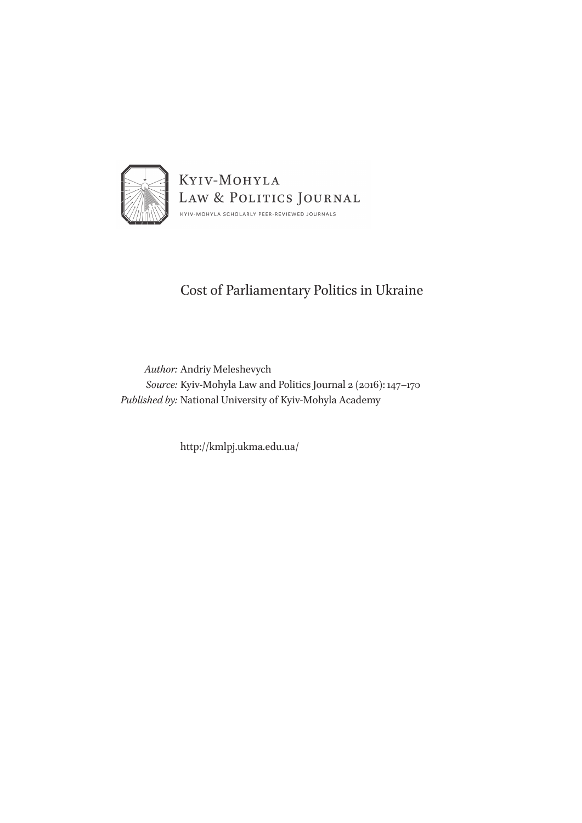

# Cost of Parliamentary Politics in Ukraine

*Author:* Andriy Meleshevych *Source:* Kyiv-Mohyla Law and Politics Journal 2 (2016): 147–170 *Published by:* National University of Kyiv-Mohyla Academy

http://kmlpj.ukma.edu.ua/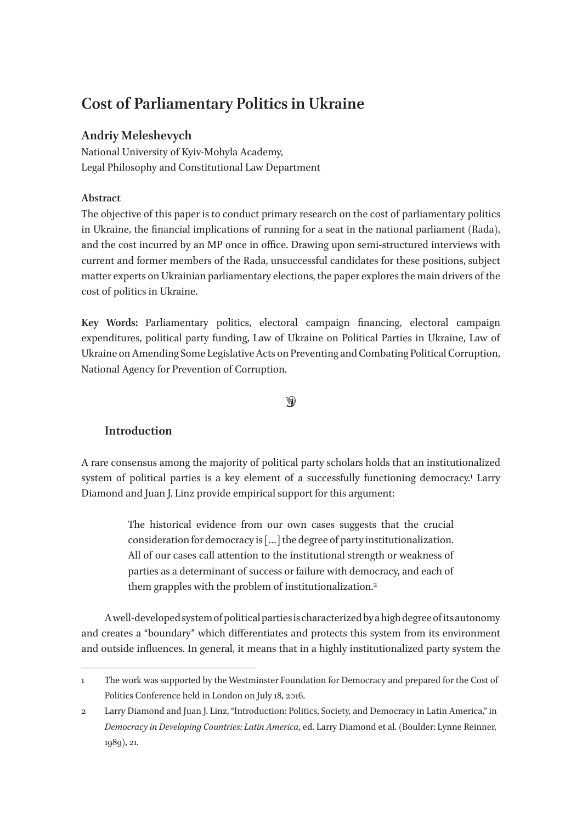# **Cost of Parliamentary Politics in Ukraine**

# **Andriy Meleshevych**

National University of Kyiv-Mohyla Academy, Legal Philosophy and Constitutional Law Department

# **Abstract**

The objective of this paper is to conduct primary research on the cost of parliamentary politics in Ukraine, the financial implications of running for a seat in the national parliament (Rada), and the cost incurred by an MP once in office. Drawing upon semi-structured interviews with current and former members of the Rada, unsuccessful candidates for these positions, subject matter experts on Ukrainian parliamentary elections, the paper explores the main drivers of the cost of politics in Ukraine.

**Key Words:** Parliamentary politics, electoral campaign financing, electoral campaign expenditures, political party funding, Law of Ukraine on Political Parties in Ukraine, Law of Ukraine on Amending Some Legislative Acts on Preventing and Combating Political Corruption, National Agency for Prevention of Corruption.

## $\bigcirc$

# **Introduction**

A rare consensus among the majority of political party scholars holds that an institutionalized system of political parties is a key element of a successfully functioning democracy.<sup>1</sup> Larry Diamond and Juan J. Linz provide empirical support for this argument:

> The historical evidence from our own cases suggests that the crucial consideration for democracy is […] the degree of party institutionalization. All of our cases call attention to the institutional strength or weakness of parties as a determinant of success or failure with democracy, and each of them grapples with the problem of institutionalization.2

A well-developed system of political parties is characterized by a high degree of its autonomy and creates a "boundary" which differentiates and protects this system from its environment and outside influences. In general, it means that in a highly institutionalized party system the

<sup>1</sup> The work was supported by the Westminster Foundation for Democracy and prepared for the Cost of Politics Conference held in London on July 18, 2016.

<sup>2</sup> Larry Diamond and Juan J. Linz, "Introduction: Politics, Society, and Democracy in Latin America," in *Democracy in Developing Countries: Latin America*, ed. Larry Diamond et al. (Boulder: Lynne Reinner, 1989), 21.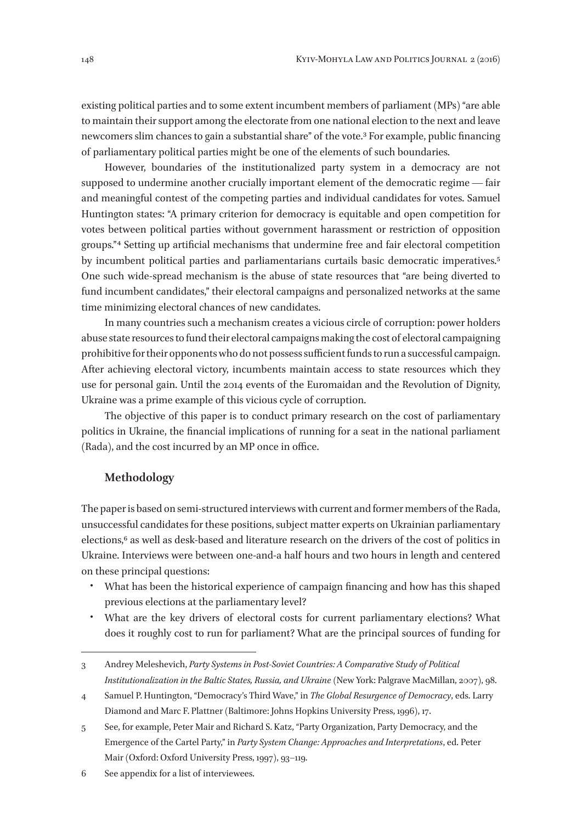existing political parties and to some extent incumbent members of parliament (MPs) "are able to maintain their support among the electorate from one national election to the next and leave newcomers slim chances to gain a substantial share" of the vote.3 For example, public financing of parliamentary political parties might be one of the elements of such boundaries.

However, boundaries of the institutionalized party system in a democracy are not supposed to undermine another crucially important element of the democratic regime — fair and meaningful contest of the competing parties and individual candidates for votes. Samuel Huntington states: "A primary criterion for democracy is equitable and open competition for votes between political parties without government harassment or restriction of opposition groups." 4 Setting up artificial mechanisms that undermine free and fair electoral competition by incumbent political parties and parliamentarians curtails basic democratic imperatives.5 One such wide-spread mechanism is the abuse of state resources that "are being diverted to fund incumbent candidates," their electoral campaigns and personalized networks at the same time minimizing electoral chances of new candidates.

In many countries such a mechanism creates a vicious circle of corruption: power holders abuse state resources to fund their electoral campaigns making the cost of electoral campaigning prohibitive for their opponents who do not possess sufficient funds to run a successful campaign. After achieving electoral victory, incumbents maintain access to state resources which they use for personal gain. Until the 2014 events of the Euromaidan and the Revolution of Dignity, Ukraine was a prime example of this vicious cycle of corruption.

The objective of this paper is to conduct primary research on the cost of parliamentary politics in Ukraine, the financial implications of running for a seat in the national parliament (Rada), and the cost incurred by an MP once in office.

## **Methodology**

The paper is based on semi-structured interviews with current and former members of the Rada, unsuccessful candidates for these positions, subject matter experts on Ukrainian parliamentary elections,<sup>6</sup> as well as desk-based and literature research on the drivers of the cost of politics in Ukraine. Interviews were between one-and-a half hours and two hours in length and centered on these principal questions:

- What has been the historical experience of campaign financing and how has this shaped previous elections at the parliamentary level?
- What are the key drivers of electoral costs for current parliamentary elections? What does it roughly cost to run for parliament? What are the principal sources of funding for

6 See appendix for a list of interviewees.

<sup>3</sup> Andrey Meleshevich, *Party Systems in Post-Soviet Countries: A Comparative Study of Political Institutionalization in the Baltic States, Russia, and Ukraine* (New York: Palgrave MacMillan, 2007), 98.

<sup>4</sup> Samuel P. Huntington, "Democracy's Third Wave," in *The Global Resurgence of Democracy*, eds. Larry Diamond and Marc F. Plattner (Baltimore: Johns Hopkins University Press, 1996), 17.

<sup>5</sup> See, for example, Peter Mair and Richard S. Katz, "Party Organization, Party Democracy, and the Emergence of the Cartel Party," in *Party System Change: Approaches and Interpretations*, ed. Peter Mair (Oxford: Oxford University Press, 1997), 93–119.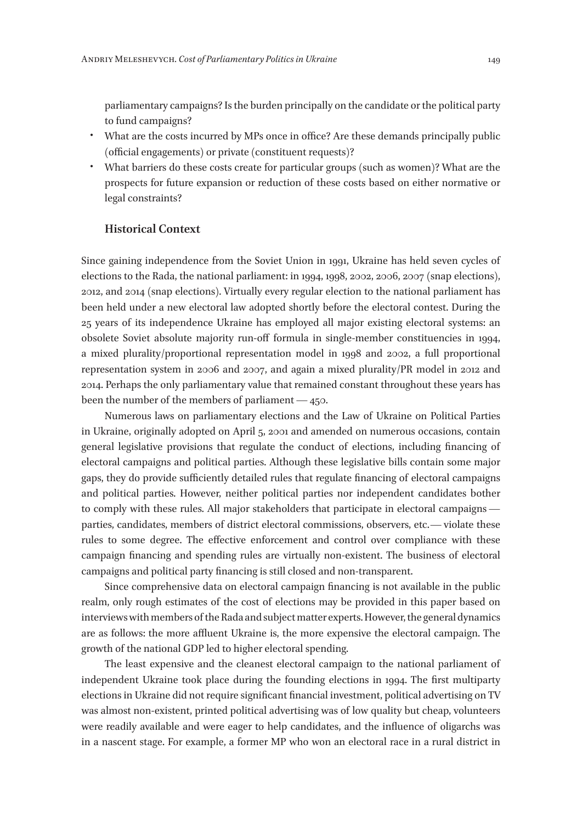parliamentary campaigns? Is the burden principally on the candidate or the political party to fund campaigns?

- What are the costs incurred by MPs once in office? Are these demands principally public (official engagements) or private (constituent requests)?
- What barriers do these costs create for particular groups (such as women)? What are the prospects for future expansion or reduction of these costs based on either normative or legal constraints?

#### **Historical Context**

Since gaining independence from the Soviet Union in 1991, Ukraine has held seven cycles of elections to the Rada, the national parliament: in 1994, 1998, 2002, 2006, 2007 (snap elections), 2012, and 2014 (snap elections). Virtually every regular election to the national parliament has been held under a new electoral law adopted shortly before the electoral contest. During the 25 years of its independence Ukraine has employed all major existing electoral systems: an obsolete Soviet absolute majority run-off formula in single-member constituencies in 1994, a mixed plurality/proportional representation model in 1998 and 2002, a full proportional representation system in 2006 and 2007, and again a mixed plurality/PR model in 2012 and 2014. Perhaps the only parliamentary value that remained constant throughout these years has been the number of the members of parliament — 450.

Numerous laws on parliamentary elections and the Law of Ukraine on Political Parties in Ukraine, originally adopted on April 5, 2001 and amended on numerous occasions, contain general legislative provisions that regulate the conduct of elections, including financing of electoral campaigns and political parties. Although these legislative bills contain some major gaps, they do provide sufficiently detailed rules that regulate financing of electoral campaigns and political parties. However, neither political parties nor independent candidates bother to comply with these rules. All major stakeholders that participate in electoral campaigns   parties, candidates, members of district electoral commissions, observers, etc.—violate these rules to some degree. The effective enforcement and control over compliance with these campaign financing and spending rules are virtually non-existent. The business of electoral campaigns and political party financing is still closed and non-transparent.

Since comprehensive data on electoral campaign financing is not available in the public realm, only rough estimates of the cost of elections may be provided in this paper based on interviews with members of the Rada and subject matter experts. However, the general dynamics are as follows: the more affluent Ukraine is, the more expensive the electoral campaign. The growth of the national GDP led to higher electoral spending.

The least expensive and the cleanest electoral campaign to the national parliament of independent Ukraine took place during the founding elections in 1994. The first multiparty elections in Ukraine did not require significant financial investment, political advertising on TV was almost non-existent, printed political advertising was of low quality but cheap, volunteers were readily available and were eager to help candidates, and the influence of oligarchs was in a nascent stage. For example, a former MP who won an electoral race in a rural district in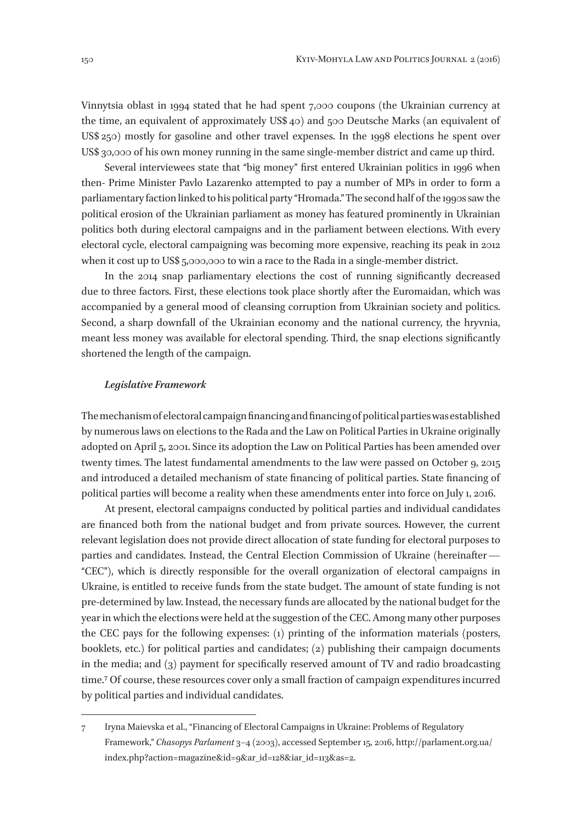Vinnytsia oblast in 1994 stated that he had spent 7,000 coupons (the Ukrainian currency at the time, an equivalent of approximately US\$ 40) and 500 Deutsche Marks (an equivalent of US\$ 250) mostly for gasoline and other travel expenses. In the 1998 elections he spent over US\$ 30,000 of his own money running in the same single-member district and came up third.

Several interviewees state that "big money" first entered Ukrainian politics in 1996 when then- Prime Minister Pavlo Lazarenko attempted to pay a number of MPs in order to form a parliamentary faction linked to his political party "Hromada." The second half of the 1990s saw the political erosion of the Ukrainian parliament as money has featured prominently in Ukrainian politics both during electoral campaigns and in the parliament between elections. With every electoral cycle, electoral campaigning was becoming more expensive, reaching its peak in 2012 when it cost up to US\$ 5,000,000 to win a race to the Rada in a single-member district.

In the 2014 snap parliamentary elections the cost of running significantly decreased due to three factors. First, these elections took place shortly after the Euromaidan, which was accompanied by a general mood of cleansing corruption from Ukrainian society and politics. Second, a sharp downfall of the Ukrainian economy and the national currency, the hryvnia, meant less money was available for electoral spending. Third, the snap elections significantly shortened the length of the campaign.

#### *Legislative Framework*

The mechanism of electoral campaign financing and financing of political parties was established by numerous laws on elections to the Rada and the Law on Political Parties in Ukraine originally adopted on April 5, 2001. Since its adoption the Law on Political Parties has been amended over twenty times. The latest fundamental amendments to the law were passed on October 9, 2015 and introduced a detailed mechanism of state financing of political parties. State financing of political parties will become a reality when these amendments enter into force on July 1, 2016.

At present, electoral campaigns conducted by political parties and individual candidates are financed both from the national budget and from private sources. However, the current relevant legislation does not provide direct allocation of state funding for electoral purposes to parties and candidates. Instead, the Central Election Commission of Ukraine (hereinafter —  "CEC"), which is directly responsible for the overall organization of electoral campaigns in Ukraine, is entitled to receive funds from the state budget. The amount of state funding is not pre-determined by law. Instead, the necessary funds are allocated by the national budget for the year in which the elections were held at the suggestion of the CEC. Among many other purposes the CEC pays for the following expenses: (1) printing of the information materials (posters, booklets, etc.) for political parties and candidates; (2) publishing their campaign documents in the media; and (3) payment for specifically reserved amount of TV and radio broadcasting time.7 Of course, these resources cover only a small fraction of campaign expenditures incurred by political parties and individual candidates.

<sup>7</sup> Iryna Maievska et al., "Financing of Electoral Campaigns in Ukraine: Problems of Regulatory Framework," *Chasopys Parlament* 3–4 (2003), accessed September 15, 2016, http://parlament.org.ua/ index.php?action=magazine&id=9&ar\_id=128&iar\_id=113&as=2.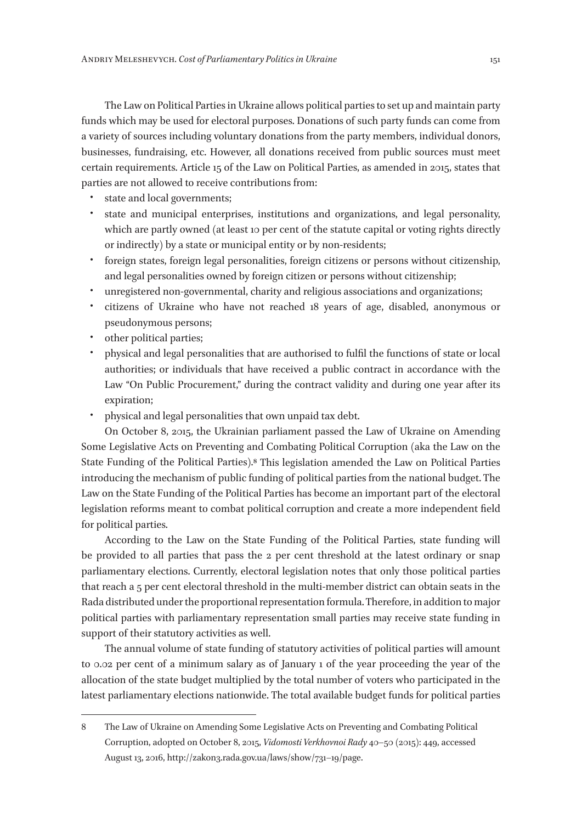The Law on Political Parties in Ukraine allows political parties to set up and maintain party funds which may be used for electoral purposes. Donations of such party funds can come from a variety of sources including voluntary donations from the party members, individual donors, businesses, fundraising, etc. However, all donations received from public sources must meet certain requirements. Article 15 of the Law on Political Parties, as amended in 2015, states that parties are not allowed to receive contributions from:

- state and local governments;
- state and municipal enterprises, institutions and organizations, and legal personality, which are partly owned (at least 10 per cent of the statute capital or voting rights directly or indirectly) by a state or municipal entity or by non-residents;
- foreign states, foreign legal personalities, foreign citizens or persons without citizenship, and legal personalities owned by foreign citizen or persons without citizenship;
- unregistered non-governmental, charity and religious associations and organizations;
- citizens of Ukraine who have not reached 18 years of age, disabled, anonymous or pseudonymous persons;
- other political parties;
- physical and legal personalities that are authorised to fulfil the functions of state or local authorities; or individuals that have received a public contract in accordance with the Law "On Public Procurement," during the contract validity and during one year after its expiration;
- physical and legal personalities that own unpaid tax debt.

On October 8, 2015, the Ukrainian parliament passed the Law of Ukraine on Amending Some Legislative Acts on Preventing and Combating Political Corruption (aka the Law on the State Funding of the Political Parties).8 This legislation amended the Law on Political Parties introducing the mechanism of public funding of political parties from the national budget. The Law on the State Funding of the Political Parties has become an important part of the electoral legislation reforms meant to combat political corruption and create a more independent field for political parties.

According to the Law on the State Funding of the Political Parties, state funding will be provided to all parties that pass the 2 per cent threshold at the latest ordinary or snap parliamentary elections. Currently, electoral legislation notes that only those political parties that reach a 5 per cent electoral threshold in the multi-member district can obtain seats in the Rada distributed under the proportional representation formula. Therefore, in addition to major political parties with parliamentary representation small parties may receive state funding in support of their statutory activities as well.

The annual volume of state funding of statutory activities of political parties will amount to 0.02 per cent of a minimum salary as of January 1 of the year proceeding the year of the allocation of the state budget multiplied by the total number of voters who participated in the latest parliamentary elections nationwide. The total available budget funds for political parties

<sup>8</sup> The Law of Ukraine on Amending Some Legislative Acts on Preventing and Combating Political Corruption, adopted on October 8, 2015, *Vidomosti Verkhovnoi Rady* 40–50 (2015): 449, accessed August 13, 2016, http://zakon3.rada.gov.ua/laws/show/731–19/page.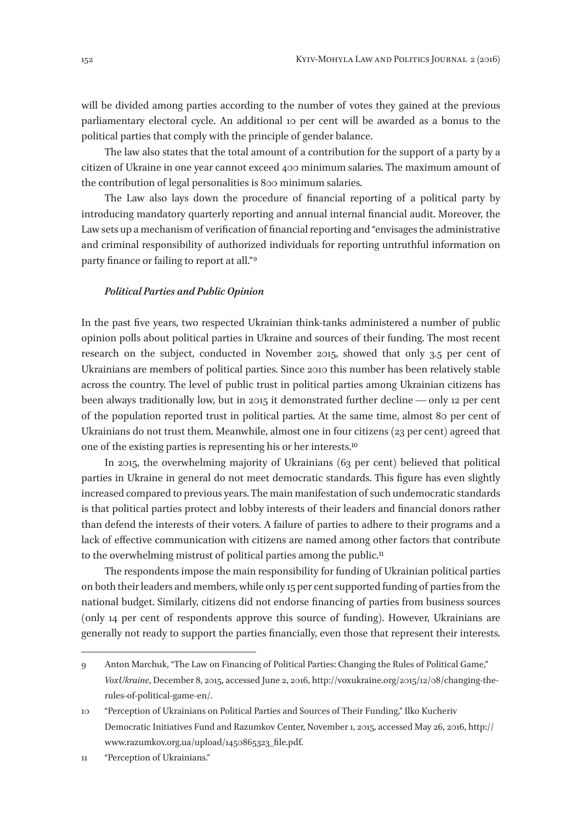will be divided among parties according to the number of votes they gained at the previous parliamentary electoral cycle. An additional 10 per cent will be awarded as a bonus to the political parties that comply with the principle of gender balance.

The law also states that the total amount of a contribution for the support of a party by a citizen of Ukraine in one year cannot exceed 400 minimum salaries. The maximum amount of the contribution of legal personalities is 800 minimum salaries.

The Law also lays down the procedure of financial reporting of a political party by introducing mandatory quarterly reporting and annual internal financial audit. Moreover, the Law sets up a mechanism of verification of financial reporting and "envisages the administrative and criminal responsibility of authorized individuals for reporting untruthful information on party finance or failing to report at all." 9

#### *Political Parties and Public Opinion*

In the past five years, two respected Ukrainian think-tanks administered a number of public opinion polls about political parties in Ukraine and sources of their funding. The most recent research on the subject, conducted in November 2015, showed that only 3.5 per cent of Ukrainians are members of political parties. Since 2010 this number has been relatively stable across the country. The level of public trust in political parties among Ukrainian citizens has been always traditionally low, but in 2015 it demonstrated further decline - only 12 per cent of the population reported trust in political parties. At the same time, almost 80 per cent of Ukrainians do not trust them. Meanwhile, almost one in four citizens (23 per cent) agreed that one of the existing parties is representing his or her interests.10

In 2015, the overwhelming majority of Ukrainians (63 per cent) believed that political parties in Ukraine in general do not meet democratic standards. This figure has even slightly increased compared to previous years. The main manifestation of such undemocratic standards is that political parties protect and lobby interests of their leaders and financial donors rather than defend the interests of their voters. A failure of parties to adhere to their programs and a lack of effective communication with citizens are named among other factors that contribute to the overwhelming mistrust of political parties among the public.<sup>11</sup>

The respondents impose the main responsibility for funding of Ukrainian political parties on both their leaders and members, while only 15 per cent supported funding of parties from the national budget. Similarly, citizens did not endorse financing of parties from business sources (only 14 per cent of respondents approve this source of funding). However, Ukrainians are generally not ready to support the parties financially, even those that represent their interests.

11 "Perception of Ukrainians."

<sup>9</sup> Anton Marchuk, "The Law on Financing of Political Parties: Changing the Rules of Political Game," *VoxUkraine*, December 8, 2015, accessed June 2, 2016, http://voxukraine.org/2015/12/08/changing-therules-of-political-game-en/.

<sup>10</sup> "Perception of Ukrainians on Political Parties and Sources of Their Funding," Ilko Kucheriv Democratic Initiatives Fund and Razumkov Center, November 1, 2015, accessed May 26, 2016, http:// www.razumkov.org.ua/upload/1450865323\_file.pdf.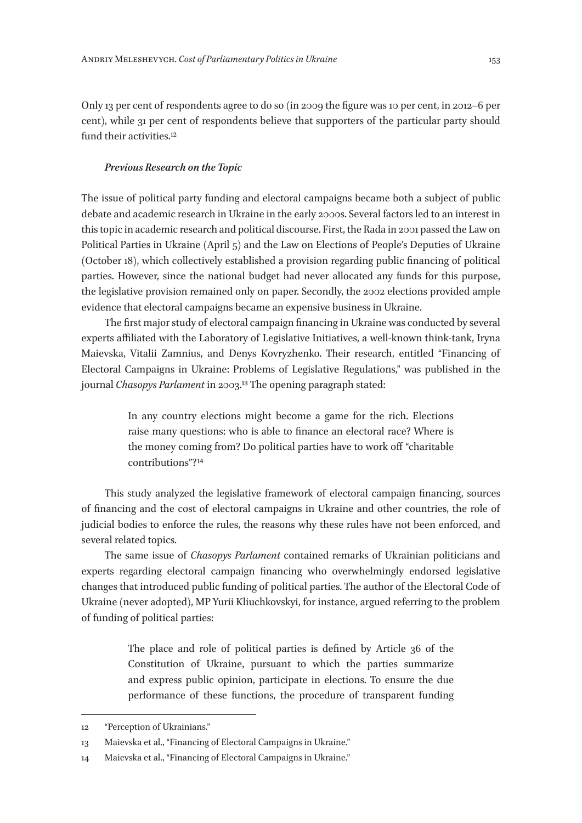Only 13 per cent of respondents agree to do so (in 2009 the figure was 10 per cent, in 2012–6 per cent), while 31 per cent of respondents believe that supporters of the particular party should fund their activities.<sup>12</sup>

#### *Previous Research on the Topic*

The issue of political party funding and electoral campaigns became both a subject of public debate and academic research in Ukraine in the early 2000s. Several factors led to an interest in this topic in academic research and political discourse. First, the Rada in 2001 passed the Law on Political Parties in Ukraine (April 5) and the Law on Elections of People's Deputies of Ukraine (October 18), which collectively established a provision regarding public financing of political parties. However, since the national budget had never allocated any funds for this purpose, the legislative provision remained only on paper. Secondly, the 2002 elections provided ample evidence that electoral campaigns became an expensive business in Ukraine.

The first major study of electoral campaign financing in Ukraine was conducted by several experts affiliated with the Laboratory of Legislative Initiatives, a well-known think-tank, Iryna Maievska, Vitalii Zamnius, and Denys Kovryzhenko. Their research, entitled "Financing of Electoral Campaigns in Ukraine: Problems of Legislative Regulations," was published in the journal *Chasopys Parlament* in 2003.13 The opening paragraph stated:

> In any country elections might become a game for the rich. Elections raise many questions: who is able to finance an electoral race? Where is the money coming from? Do political parties have to work off "charitable contributions"? 14

This study analyzed the legislative framework of electoral campaign financing, sources of financing and the cost of electoral campaigns in Ukraine and other countries, the role of judicial bodies to enforce the rules, the reasons why these rules have not been enforced, and several related topics.

The same issue of *Chasopys Parlament* contained remarks of Ukrainian politicians and experts regarding electoral campaign financing who overwhelmingly endorsed legislative changes that introduced public funding of political parties. The author of the Electoral Code of Ukraine (never adopted), MP Yurii Kliuchkovskyi, for instance, argued referring to the problem of funding of political parties:

> The place and role of political parties is defined by Article 36 of the Constitution of Ukraine, pursuant to which the parties summarize and express public opinion, participate in elections. To ensure the due performance of these functions, the procedure of transparent funding

<sup>12</sup> "Perception of Ukrainians."

<sup>13</sup> Maievska et al., "Financing of Electoral Campaigns in Ukraine."

<sup>14</sup> Maievska et al., "Financing of Electoral Campaigns in Ukraine."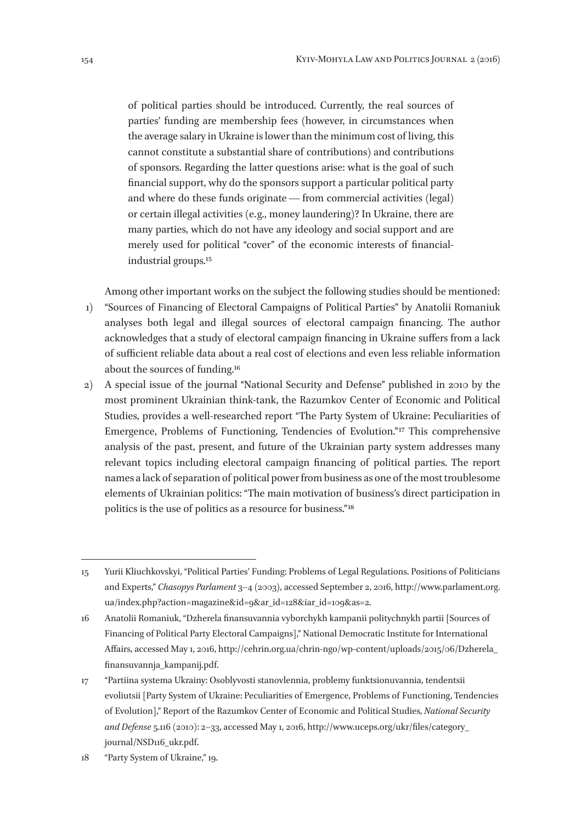of political parties should be introduced. Currently, the real sources of parties' funding are membership fees (however, in circumstances when the average salary in Ukraine is lower than the minimum cost of living, this cannot constitute a substantial share of contributions) and contributions of sponsors. Regarding the latter questions arise: what is the goal of such financial support, why do the sponsors support a particular political party and where do these funds originate — from commercial activities (legal) or certain illegal activities (e. g., money laundering)? In Ukraine, there are many parties, which do not have any ideology and social support and are merely used for political "cover" of the economic interests of financialindustrial groups.15

Among other important works on the subject the following studies should be mentioned: 1) "Sources of Financing of Electoral Campaigns of Political Parties" by Anatolii Romaniuk analyses both legal and illegal sources of electoral campaign financing. The author acknowledges that a study of electoral campaign financing in Ukraine suffers from a lack of sufficient reliable data about a real cost of elections and even less reliable information about the sources of funding.16

2) A special issue of the journal "National Security and Defense" published in 2010 by the most prominent Ukrainian think-tank, the Razumkov Center of Economic and Political Studies, provides a well-researched report "The Party System of Ukraine: Peculiarities of Emergence, Problems of Functioning, Tendencies of Evolution."<sup>17</sup> This comprehensive analysis of the past, present, and future of the Ukrainian party system addresses many relevant topics including electoral campaign financing of political parties. The report names a lack of separation of political power from business as one of the most troublesome elements of Ukrainian politics: "The main motivation of business's direct participation in politics is the use of politics as a resource for business." 18

<sup>15</sup> Yurii Kliuchkovskyi, "Political Parties' Funding: Problems of Legal Regulations. Positions of Politicians and Experts," *Chasopys Parlament* 3–4 (2003), accessed September 2, 2016, http://www.parlament.org. ua/index.php?action=magazine&id=9&ar\_id=128&iar\_id=109&as=2.

<sup>16</sup> Anatolii Romaniuk, "Dzherela finansuvannia vyborchykh kampanii politychnykh partii [Sources of Financing of Political Party Electoral Campaigns]," National Democratic Institute for International Affairs, accessed May 1, 2016, http://cehrin.org.ua/chrin-ngo/wp-content/uploads/2015/06/Dzherela\_ finansuvannja\_kampanij.pdf.

<sup>17</sup> "Partiina systema Ukrainy: Osoblyvosti stanovlennia, problemy funktsionuvannia, tendentsii evoliutsii [Party System of Ukraine: Peculiarities of Emergence, Problems of Functioning, Tendencies of Evolution]," Report of the Razumkov Center of Economic and Political Studies, *National Security and Defense* 5.116 (2010): 2–33, accessed May 1, 2016, http://www.uceps.org/ukr/files/category\_ journal/NSD116\_ukr.pdf.

<sup>18</sup> "Party System of Ukraine," 19.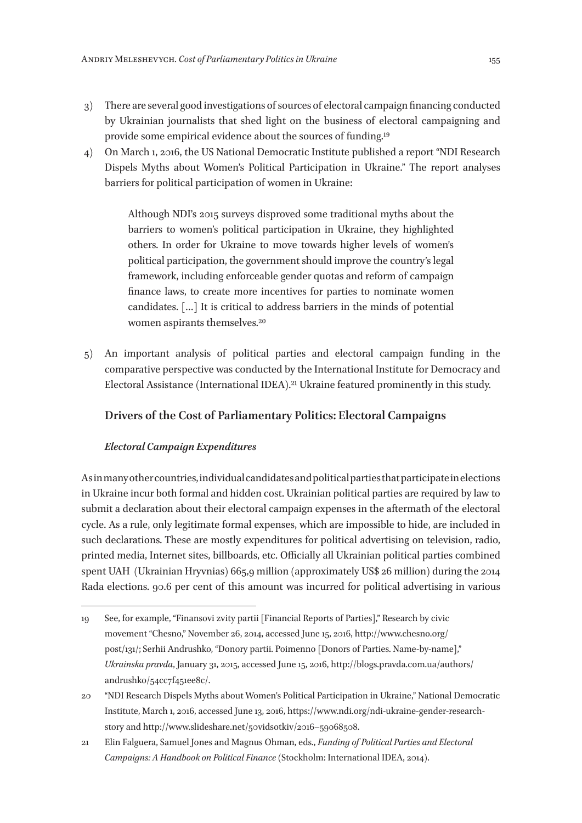- 3) There are several good investigations of sources of electoral campaign financing conducted by Ukrainian journalists that shed light on the business of electoral campaigning and provide some empirical evidence about the sources of funding.19
- 4) On March 1, 2016, the US National Democratic Institute published a report "NDI Research Dispels Myths about Women's Political Participation in Ukraine." The report analyses barriers for political participation of women in Ukraine:

Although NDI's 2015 surveys disproved some traditional myths about the barriers to women's political participation in Ukraine, they highlighted others. In order for Ukraine to move towards higher levels of women's political participation, the government should improve the country's legal framework, including enforceable gender quotas and reform of campaign finance laws, to create more incentives for parties to nominate women candidates. […] It is critical to address barriers in the minds of potential women aspirants themselves.20

5) An important analysis of political parties and electoral campaign funding in the comparative perspective was conducted by the International Institute for Democracy and Electoral Assistance (International IDEA).21 Ukraine featured prominently in this study.

## **Drivers of the Cost of Parliamentary Politics: Electoral Campaigns**

## *Electoral Campaign Expenditures*

As in many other countries, individual candidates and political parties that participate in elections in Ukraine incur both formal and hidden cost. Ukrainian political parties are required by law to submit a declaration about their electoral campaign expenses in the aftermath of the electoral cycle. As a rule, only legitimate formal expenses, which are impossible to hide, are included in such declarations. These are mostly expenditures for political advertising on television, radio, printed media, Internet sites, billboards, etc. Officially all Ukrainian political parties combined spent UAH (Ukrainian Hryvnias) 665,9 million (approximately US\$ 26 million) during the 2014 Rada elections. 90.6 per cent of this amount was incurred for political advertising in various

<sup>19</sup> See, for example, "Finansovi zvity partii [Financial Reports of Parties]," Research by civic movement "Chesno," November 26, 2014, accessed June 15, 2016, http://www.chesno.org/ post/131/; Serhii Andrushko, "Donory partii. Poimenno [Donors of Parties. Name-by-name]," *Ukrainska pravda*, January 31, 2015, accessed June 15, 2016, http://blogs.pravda.com.ua/authors/ andrushko/54cc7f451ee8c/.

<sup>20</sup> "NDI Research Dispels Myths about Women's Political Participation in Ukraine," National Democratic Institute, March 1, 2016, accessed June 13, 2016, https://www.ndi.org/ndi-ukraine-gender-researchstory and http://www.slideshare.net/50vidsotkiv/2016–59068508.

<sup>21</sup> Elin Falguera, Samuel Jones and Magnus Ohman, eds., *Funding of Political Parties and Electoral Campaigns: A Handbook on Political Finance* (Stockholm: International IDEA, 2014).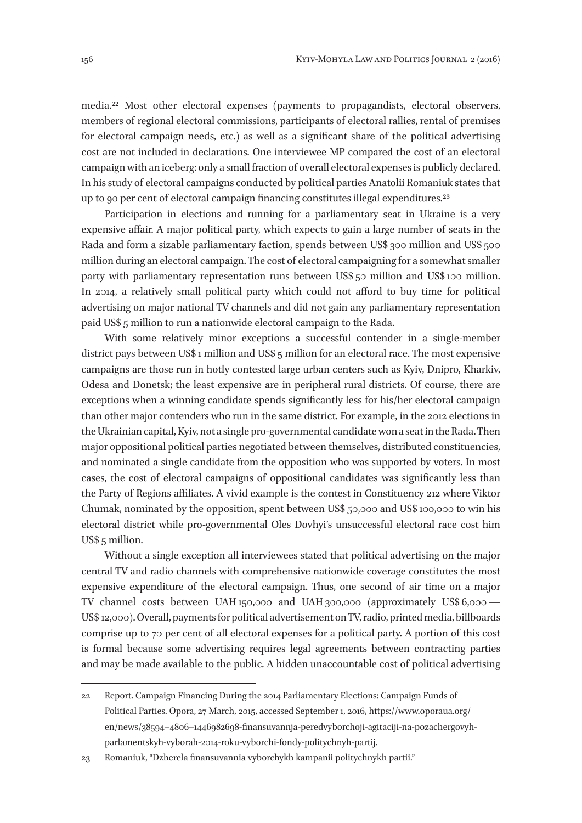media.22 Most other electoral expenses (payments to propagandists, electoral observers, members of regional electoral commissions, participants of electoral rallies, rental of premises for electoral campaign needs, etc.) as well as a significant share of the political advertising cost are not included in declarations. One interviewee MP compared the cost of an electoral campaign with an iceberg: only a small fraction of overall electoral expenses is publicly declared. In his study of electoral campaigns conducted by political parties Anatolii Romaniuk states that up to 90 per cent of electoral campaign financing constitutes illegal expenditures.23

Participation in elections and running for a parliamentary seat in Ukraine is a very expensive affair. A major political party, which expects to gain a large number of seats in the Rada and form a sizable parliamentary faction, spends between US\$ 300 million and US\$ 500 million during an electoral campaign. The cost of electoral campaigning for a somewhat smaller party with parliamentary representation runs between US\$ 50 million and US\$ 100 million. In 2014, a relatively small political party which could not afford to buy time for political advertising on major national TV channels and did not gain any parliamentary representation paid US\$ 5 million to run a nationwide electoral campaign to the Rada.

With some relatively minor exceptions a successful contender in a single-member district pays between US\$ 1 million and US\$ 5 million for an electoral race. The most expensive campaigns are those run in hotly contested large urban centers such as Kyiv, Dnipro, Kharkiv, Odesa and Donetsk; the least expensive are in peripheral rural districts. Of course, there are exceptions when a winning candidate spends significantly less for his/her electoral campaign than other major contenders who run in the same district. For example, in the 2012 elections in the Ukrainian capital, Kyiv, not a single pro-governmental candidate won a seat in the Rada. Then major oppositional political parties negotiated between themselves, distributed constituencies, and nominated a single candidate from the opposition who was supported by voters. In most cases, the cost of electoral campaigns of oppositional candidates was significantly less than the Party of Regions affiliates. A vivid example is the contest in Constituency 212 where Viktor Chumak, nominated by the opposition, spent between US\$ 50,000 and US\$ 100,000 to win his electoral district while pro-governmental Oles Dovhyi's unsuccessful electoral race cost him US\$ 5 million.

Without a single exception all interviewees stated that political advertising on the major central TV and radio channels with comprehensive nationwide coverage constitutes the most expensive expenditure of the electoral campaign. Thus, one second of air time on a major TV channel costs between UAH 150,000 and UAH 300,000 (approximately US\$ 6,000 —  US\$ 12,000). Overall, payments for political advertisement on TV, radio, printed media, billboards comprise up to 70 per cent of all electoral expenses for a political party. A portion of this cost is formal because some advertising requires legal agreements between contracting parties and may be made available to the public. A hidden unaccountable cost of political advertising

<sup>22</sup> Report. Campaign Financing During the 2014 Parliamentary Elections: Campaign Funds of Political Parties. Opora, 27 March, 2015, accessed September 1, 2016, https://www.oporaua.org/ en/news/38594–4806–1446982698-finansuvannja-peredvyborchoji-agitaciji-na-pozachergovyhparlamentskyh-vyborah‑2014-roku-vyborchi-fondy-politychnyh-partij.

<sup>23</sup> Romaniuk, "Dzherela finansuvannia vyborchykh kampanii politychnykh partii."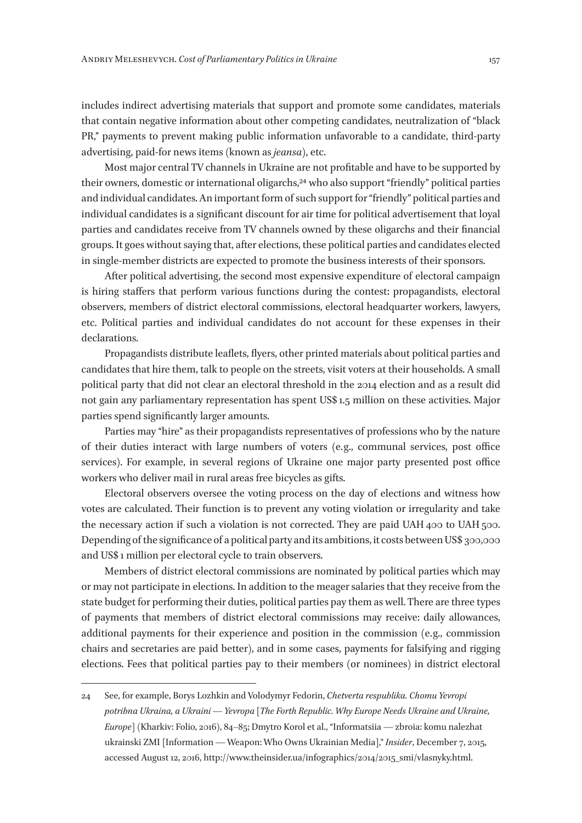includes indirect advertising materials that support and promote some candidates, materials that contain negative information about other competing candidates, neutralization of "black PR," payments to prevent making public information unfavorable to a candidate, third-party advertising, paid-for news items (known as *jeansa*), etc.

Most major central TV channels in Ukraine are not profitable and have to be supported by their owners, domestic or international oligarchs,24 who also support "friendly" political parties and individual candidates. An important form of such support for "friendly" political parties and individual candidates is a significant discount for air time for political advertisement that loyal parties and candidates receive from TV channels owned by these oligarchs and their financial groups. It goes without saying that, after elections, these political parties and candidates elected in single-member districts are expected to promote the business interests of their sponsors.

After political advertising, the second most expensive expenditure of electoral campaign is hiring staffers that perform various functions during the contest: propagandists, electoral observers, members of district electoral commissions, electoral headquarter workers, lawyers, etc. Political parties and individual candidates do not account for these expenses in their declarations.

Propagandists distribute leaflets, flyers, other printed materials about political parties and candidates that hire them, talk to people on the streets, visit voters at their households. A small political party that did not clear an electoral threshold in the 2014 election and as a result did not gain any parliamentary representation has spent US\$ 1.5 million on these activities. Major parties spend significantly larger amounts.

Parties may "hire" as their propagandists representatives of professions who by the nature of their duties interact with large numbers of voters (e. g., communal services, post office services). For example, in several regions of Ukraine one major party presented post office workers who deliver mail in rural areas free bicycles as gifts.

Electoral observers oversee the voting process on the day of elections and witness how votes are calculated. Their function is to prevent any voting violation or irregularity and take the necessary action if such a violation is not corrected. They are paid UAH 400 to UAH 500. Depending of the significance of a political party and its ambitions, it costs between US\$ 300,000 and US\$ 1 million per electoral cycle to train observers.

Members of district electoral commissions are nominated by political parties which may or may not participate in elections. In addition to the meager salaries that they receive from the state budget for performing their duties, political parties pay them as well. There are three types of payments that members of district electoral commissions may receive: daily allowances, additional payments for their experience and position in the commission (e. g., commission chairs and secretaries are paid better), and in some cases, payments for falsifying and rigging elections. Fees that political parties pay to their members (or nominees) in district electoral

<sup>24</sup> See, for example, Borys Lozhkin and Volodymyr Fedorin, *Chetverta respublika. Chomu Yevropi potribna Ukraina, a Ukraini — Yevropa* [*The Forth Republic. Why Europe Needs Ukraine and Ukraine, Europe*] (Kharkiv: Folio, 2016), 84–85; Dmytro Korol et al., "Informatsiia — zbroia: komu nalezhat ukrainski ZMI [Information — Weapon: Who Owns Ukrainian Media]," *Insider*, December 7, 2015, accessed August 12, 2016, http://www.theinsider.ua/infographics/2014/2015\_smi/vlasnyky.html.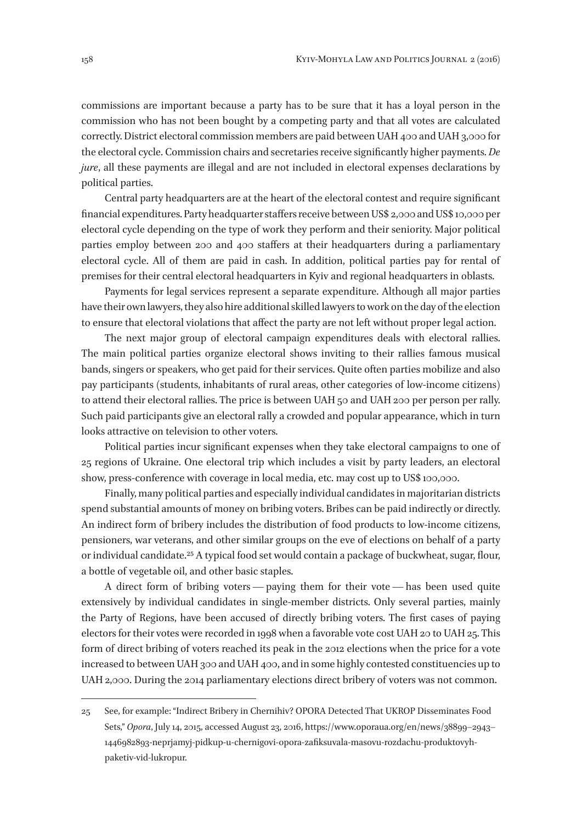commissions are important because a party has to be sure that it has a loyal person in the commission who has not been bought by a competing party and that all votes are calculated correctly. District electoral commission members are paid between UAH 400 and UAH 3,000 for the electoral cycle. Commission chairs and secretaries receive significantly higher payments. *De jure*, all these payments are illegal and are not included in electoral expenses declarations by political parties.

Central party headquarters are at the heart of the electoral contest and require significant financial expenditures. Party headquarter staffers receive between US\$ 2,000 and US\$ 10,000 per electoral cycle depending on the type of work they perform and their seniority. Major political parties employ between 200 and 400 staffers at their headquarters during a parliamentary electoral cycle. All of them are paid in cash. In addition, political parties pay for rental of premises for their central electoral headquarters in Kyiv and regional headquarters in oblasts.

Payments for legal services represent a separate expenditure. Although all major parties have their own lawyers, they also hire additional skilled lawyers to work on the day of the election to ensure that electoral violations that affect the party are not left without proper legal action.

The next major group of electoral campaign expenditures deals with electoral rallies. The main political parties organize electoral shows inviting to their rallies famous musical bands, singers or speakers, who get paid for their services. Quite often parties mobilize and also pay participants (students, inhabitants of rural areas, other categories of low-income citizens) to attend their electoral rallies. The price is between UAH 50 and UAH 200 per person per rally. Such paid participants give an electoral rally a crowded and popular appearance, which in turn looks attractive on television to other voters.

Political parties incur significant expenses when they take electoral campaigns to one of 25 regions of Ukraine. One electoral trip which includes a visit by party leaders, an electoral show, press-conference with coverage in local media, etc. may cost up to US\$ 100,000.

Finally, many political parties and especially individual candidates in majoritarian districts spend substantial amounts of money on bribing voters. Bribes can be paid indirectly or directly. An indirect form of bribery includes the distribution of food products to low-income citizens, pensioners, war veterans, and other similar groups on the eve of elections on behalf of a party or individual candidate.25 A typical food set would contain a package of buckwheat, sugar, flour, a bottle of vegetable oil, and other basic staples.

A direct form of bribing voters — paying them for their vote — has been used quite extensively by individual candidates in single-member districts. Only several parties, mainly the Party of Regions, have been accused of directly bribing voters. The first cases of paying electors for their votes were recorded in 1998 when a favorable vote cost UAH 20 to UAH 25. This form of direct bribing of voters reached its peak in the 2012 elections when the price for a vote increased to between UAH 300 and UAH 400, and in some highly contested constituencies up to UAH 2,000. During the 2014 parliamentary elections direct bribery of voters was not common.

<sup>25</sup> See, for example: "Indirect Bribery in Chernihiv? OPORA Detected That UKROP Disseminates Food Sets," *Opora*, July 14, 2015, accessed August 23, 2016, https://www.oporaua.org/en/news/38899–2943– 1446982893-neprjamyj-pidkup-u-chernigovi-opora-zafiksuvala-masovu-rozdachu-produktovyhpaketiv-vid-lukropur.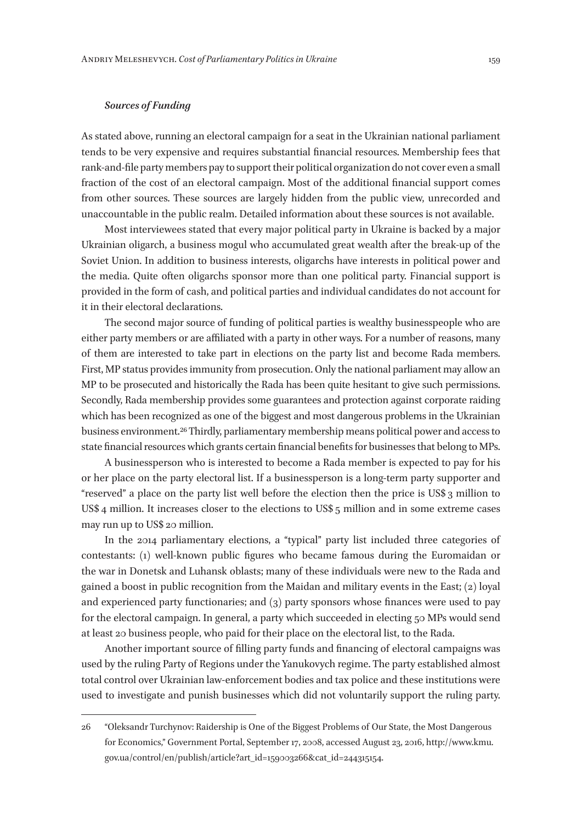## *Sources of Funding*

As stated above, running an electoral campaign for a seat in the Ukrainian national parliament tends to be very expensive and requires substantial financial resources. Membership fees that rank-and-file party members pay to support their political organization do not cover even a small fraction of the cost of an electoral campaign. Most of the additional financial support comes from other sources. These sources are largely hidden from the public view, unrecorded and unaccountable in the public realm. Detailed information about these sources is not available.

Most interviewees stated that every major political party in Ukraine is backed by a major Ukrainian oligarch, a business mogul who accumulated great wealth after the break-up of the Soviet Union. In addition to business interests, oligarchs have interests in political power and the media. Quite often oligarchs sponsor more than one political party. Financial support is provided in the form of cash, and political parties and individual candidates do not account for it in their electoral declarations.

The second major source of funding of political parties is wealthy businesspeople who are either party members or are affiliated with a party in other ways. For a number of reasons, many of them are interested to take part in elections on the party list and become Rada members. First, MP status provides immunity from prosecution. Only the national parliament may allow an MP to be prosecuted and historically the Rada has been quite hesitant to give such permissions. Secondly, Rada membership provides some guarantees and protection against corporate raiding which has been recognized as one of the biggest and most dangerous problems in the Ukrainian business environment.26 Thirdly, parliamentary membership means political power and access to state financial resources which grants certain financial benefits for businesses that belong to MPs.

A businessperson who is interested to become a Rada member is expected to pay for his or her place on the party electoral list. If a businessperson is a long-term party supporter and "reserved" a place on the party list well before the election then the price is US\$ 3 million to US\$ 4 million. It increases closer to the elections to US\$ 5 million and in some extreme cases may run up to US\$ 20 million.

In the 2014 parliamentary elections, a "typical" party list included three categories of contestants: (1) well-known public figures who became famous during the Euromaidan or the war in Donetsk and Luhansk oblasts; many of these individuals were new to the Rada and gained a boost in public recognition from the Maidan and military events in the East; (2) loyal and experienced party functionaries; and (3) party sponsors whose finances were used to pay for the electoral campaign. In general, a party which succeeded in electing 50 MPs would send at least 20 business people, who paid for their place on the electoral list, to the Rada.

Another important source of filling party funds and financing of electoral campaigns was used by the ruling Party of Regions under the Yanukovych regime. The party established almost total control over Ukrainian law-enforcement bodies and tax police and these institutions were used to investigate and punish businesses which did not voluntarily support the ruling party.

<sup>26</sup> "Oleksandr Turchynov: Raidership is One of the Biggest Problems of Our State, the Most Dangerous for Economics," Government Portal, September 17, 2008, accessed August 23, 2016, http://www.kmu. gov.ua/control/en/publish/article?art\_id=159003266&cat\_id=244315154.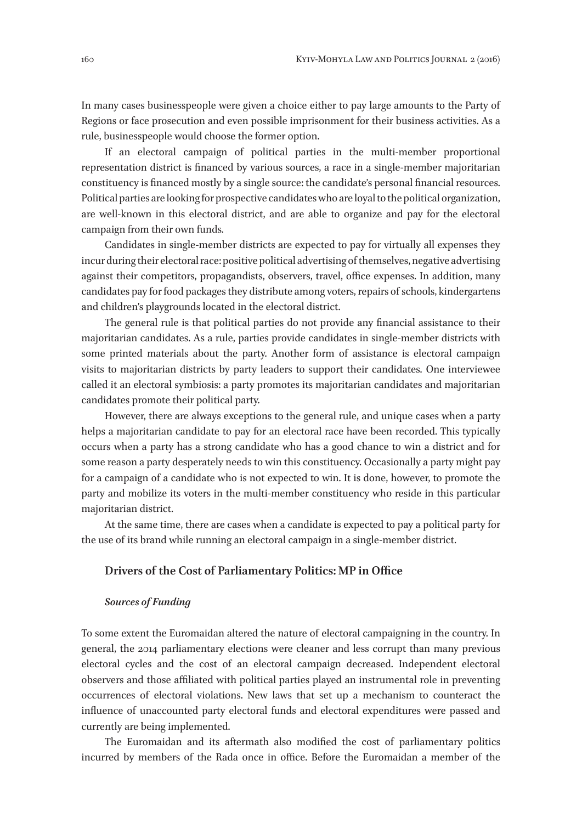In many cases businesspeople were given a choice either to pay large amounts to the Party of Regions or face prosecution and even possible imprisonment for their business activities. As a rule, businesspeople would choose the former option.

If an electoral campaign of political parties in the multi-member proportional representation district is financed by various sources, a race in a single-member majoritarian constituency is financed mostly by a single source: the candidate's personal financial resources. Political parties are looking for prospective candidates who are loyal to the political organization, are well-known in this electoral district, and are able to organize and pay for the electoral campaign from their own funds.

Candidates in single-member districts are expected to pay for virtually all expenses they incur during their electoral race: positive political advertising of themselves, negative advertising against their competitors, propagandists, observers, travel, office expenses. In addition, many candidates pay for food packages they distribute among voters, repairs of schools, kindergartens and children's playgrounds located in the electoral district.

The general rule is that political parties do not provide any financial assistance to their majoritarian candidates. As a rule, parties provide candidates in single-member districts with some printed materials about the party. Another form of assistance is electoral campaign visits to majoritarian districts by party leaders to support their candidates. One interviewee called it an electoral symbiosis: a party promotes its majoritarian candidates and majoritarian candidates promote their political party.

However, there are always exceptions to the general rule, and unique cases when a party helps a majoritarian candidate to pay for an electoral race have been recorded. This typically occurs when a party has a strong candidate who has a good chance to win a district and for some reason a party desperately needs to win this constituency. Occasionally a party might pay for a campaign of a candidate who is not expected to win. It is done, however, to promote the party and mobilize its voters in the multi-member constituency who reside in this particular majoritarian district.

At the same time, there are cases when a candidate is expected to pay a political party for the use of its brand while running an electoral campaign in a single-member district.

#### **Drivers of the Cost of Parliamentary Politics: MP in Office**

#### *Sources of Funding*

To some extent the Euromaidan altered the nature of electoral campaigning in the country. In general, the 2014 parliamentary elections were cleaner and less corrupt than many previous electoral cycles and the cost of an electoral campaign decreased. Independent electoral observers and those affiliated with political parties played an instrumental role in preventing occurrences of electoral violations. New laws that set up a mechanism to counteract the influence of unaccounted party electoral funds and electoral expenditures were passed and currently are being implemented.

The Euromaidan and its aftermath also modified the cost of parliamentary politics incurred by members of the Rada once in office. Before the Euromaidan a member of the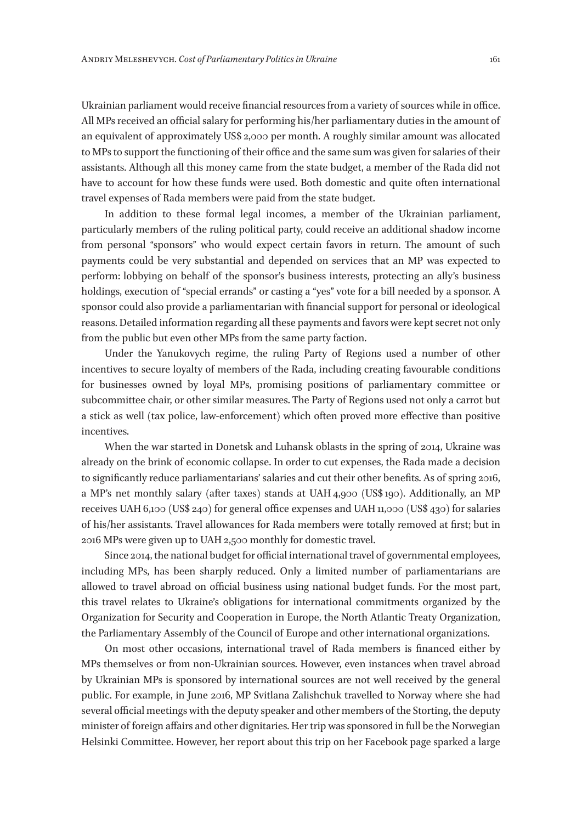Ukrainian parliament would receive financial resources from a variety of sources while in office. All MPs received an official salary for performing his/her parliamentary duties in the amount of an equivalent of approximately US\$ 2,000 per month. A roughly similar amount was allocated to MPs to support the functioning of their office and the same sum was given for salaries of their assistants. Although all this money came from the state budget, a member of the Rada did not have to account for how these funds were used. Both domestic and quite often international travel expenses of Rada members were paid from the state budget.

In addition to these formal legal incomes, a member of the Ukrainian parliament, particularly members of the ruling political party, could receive an additional shadow income from personal "sponsors" who would expect certain favors in return. The amount of such payments could be very substantial and depended on services that an MP was expected to perform: lobbying on behalf of the sponsor's business interests, protecting an ally's business holdings, execution of "special errands" or casting a "yes" vote for a bill needed by a sponsor. A sponsor could also provide a parliamentarian with financial support for personal or ideological reasons. Detailed information regarding all these payments and favors were kept secret not only from the public but even other MPs from the same party faction.

Under the Yanukovych regime, the ruling Party of Regions used a number of other incentives to secure loyalty of members of the Rada, including creating favourable conditions for businesses owned by loyal MPs, promising positions of parliamentary committee or subcommittee chair, or other similar measures. The Party of Regions used not only a carrot but a stick as well (tax police, law-enforcement) which often proved more effective than positive incentives.

When the war started in Donetsk and Luhansk oblasts in the spring of 2014, Ukraine was already on the brink of economic collapse. In order to cut expenses, the Rada made a decision to significantly reduce parliamentarians' salaries and cut their other benefits. As of spring 2016, a MP's net monthly salary (after taxes) stands at UAH 4,900 (US\$ 190). Additionally, an MP receives UAH 6,100 (US\$ 240) for general office expenses and UAH 11,000 (US\$ 430) for salaries of his/her assistants. Travel allowances for Rada members were totally removed at first; but in 2016 MPs were given up to UAH 2,500 monthly for domestic travel.

Since 2014, the national budget for official international travel of governmental employees, including MPs, has been sharply reduced. Only a limited number of parliamentarians are allowed to travel abroad on official business using national budget funds. For the most part, this travel relates to Ukraine's obligations for international commitments organized by the Organization for Security and Cooperation in Europe, the North Atlantic Treaty Organization, the Parliamentary Assembly of the Council of Europe and other international organizations.

On most other occasions, international travel of Rada members is financed either by MPs themselves or from non-Ukrainian sources. However, even instances when travel abroad by Ukrainian MPs is sponsored by international sources are not well received by the general public. For example, in June 2016, MP Svitlana Zalishchuk travelled to Norway where she had several official meetings with the deputy speaker and other members of the Storting, the deputy minister of foreign affairs and other dignitaries. Her trip was sponsored in full be the Norwegian Helsinki Committee. However, her report about this trip on her Facebook page sparked a large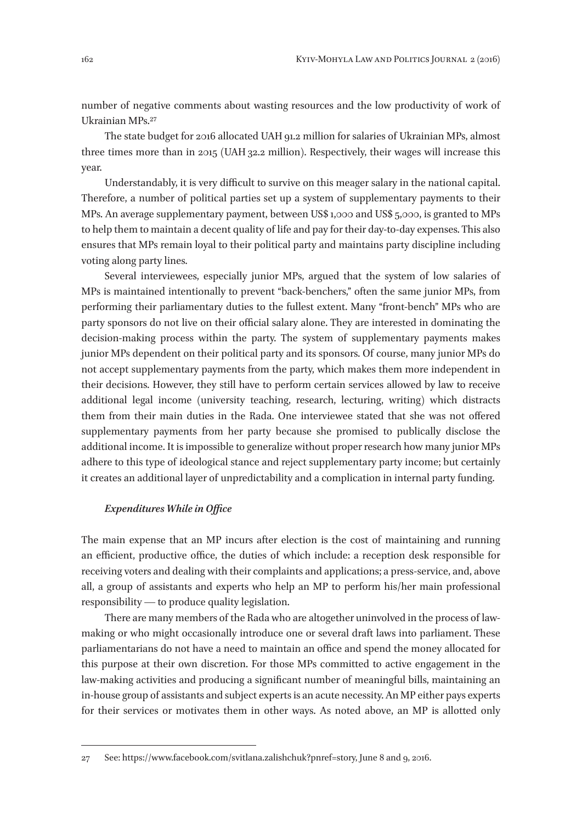number of negative comments about wasting resources and the low productivity of work of Ukrainian MPs.27

The state budget for 2016 allocated UAH 91.2 million for salaries of Ukrainian MPs, almost three times more than in 2015 (UAH 32.2 million). Respectively, their wages will increase this year.

Understandably, it is very difficult to survive on this meager salary in the national capital. Therefore, a number of political parties set up a system of supplementary payments to their MPs. An average supplementary payment, between US\$ 1,000 and US\$ 5,000, is granted to MPs to help them to maintain a decent quality of life and pay for their day-to-day expenses. This also ensures that MPs remain loyal to their political party and maintains party discipline including voting along party lines.

Several interviewees, especially junior MPs, argued that the system of low salaries of MPs is maintained intentionally to prevent "back-benchers," often the same junior MPs, from performing their parliamentary duties to the fullest extent. Many "front-bench" MPs who are party sponsors do not live on their official salary alone. They are interested in dominating the decision-making process within the party. The system of supplementary payments makes junior MPs dependent on their political party and its sponsors. Of course, many junior MPs do not accept supplementary payments from the party, which makes them more independent in their decisions. However, they still have to perform certain services allowed by law to receive additional legal income (university teaching, research, lecturing, writing) which distracts them from their main duties in the Rada. One interviewee stated that she was not offered supplementary payments from her party because she promised to publically disclose the additional income. It is impossible to generalize without proper research how many junior MPs adhere to this type of ideological stance and reject supplementary party income; but certainly it creates an additional layer of unpredictability and a complication in internal party funding.

#### *Expenditures While in Office*

The main expense that an MP incurs after election is the cost of maintaining and running an efficient, productive office, the duties of which include: a reception desk responsible for receiving voters and dealing with their complaints and applications; a press-service, and, above all, a group of assistants and experts who help an MP to perform his/her main professional responsibility — to produce quality legislation.

There are many members of the Rada who are altogether uninvolved in the process of lawmaking or who might occasionally introduce one or several draft laws into parliament. These parliamentarians do not have a need to maintain an office and spend the money allocated for this purpose at their own discretion. For those MPs committed to active engagement in the law-making activities and producing a significant number of meaningful bills, maintaining an in-house group of assistants and subject experts is an acute necessity. An MP either pays experts for their services or motivates them in other ways. As noted above, an MP is allotted only

<sup>27</sup> See: https://www.facebook.com/svitlana.zalishchuk?pnref=story, June 8 and 9, 2016.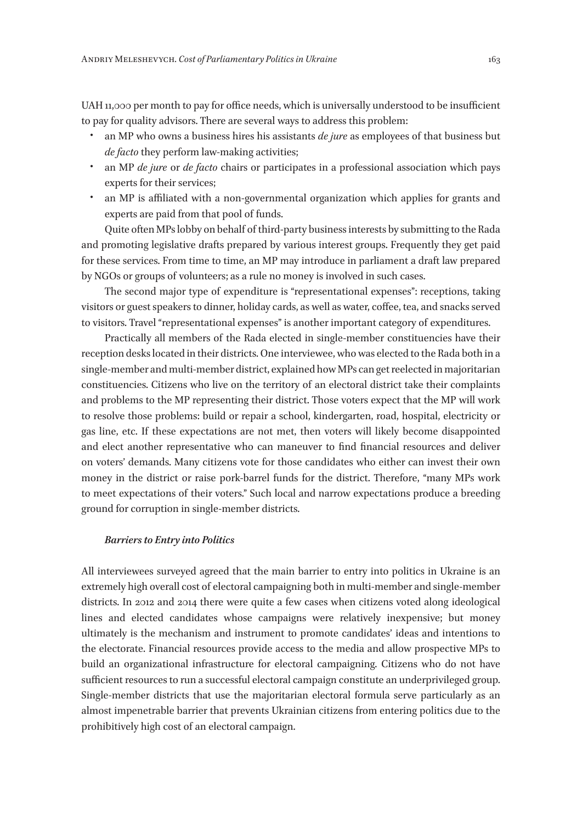UAH 11,000 per month to pay for office needs, which is universally understood to be insufficient to pay for quality advisors. There are several ways to address this problem:

- an MP who owns a business hires his assistants *de jure* as employees of that business but *de facto* they perform law-making activities;
- an MP *de jure* or *de facto* chairs or participates in a professional association which pays experts for their services;
- an MP is affiliated with a non-governmental organization which applies for grants and experts are paid from that pool of funds.

Quite often MPs lobby on behalf of third-party business interests by submitting to the Rada and promoting legislative drafts prepared by various interest groups. Frequently they get paid for these services. From time to time, an MP may introduce in parliament a draft law prepared by NGOs or groups of volunteers; as a rule no money is involved in such cases.

The second major type of expenditure is "representational expenses": receptions, taking visitors or guest speakers to dinner, holiday cards, as well as water, coffee, tea, and snacks served to visitors. Travel "representational expenses" is another important category of expenditures.

Practically all members of the Rada elected in single-member constituencies have their reception desks located in their districts. One interviewee, who was elected to the Rada both in a single-member and multi-member district, explained how MPs can get reelected in majoritarian constituencies. Citizens who live on the territory of an electoral district take their complaints and problems to the MP representing their district. Those voters expect that the MP will work to resolve those problems: build or repair a school, kindergarten, road, hospital, electricity or gas line, etc. If these expectations are not met, then voters will likely become disappointed and elect another representative who can maneuver to find financial resources and deliver on voters' demands. Many citizens vote for those candidates who either can invest their own money in the district or raise pork-barrel funds for the district. Therefore, "many MPs work to meet expectations of their voters." Such local and narrow expectations produce a breeding ground for corruption in single-member districts.

#### *Barriers to Entry into Politics*

All interviewees surveyed agreed that the main barrier to entry into politics in Ukraine is an extremely high overall cost of electoral campaigning both in multi-member and single-member districts. In 2012 and 2014 there were quite a few cases when citizens voted along ideological lines and elected candidates whose campaigns were relatively inexpensive; but money ultimately is the mechanism and instrument to promote candidates' ideas and intentions to the electorate. Financial resources provide access to the media and allow prospective MPs to build an organizational infrastructure for electoral campaigning. Citizens who do not have sufficient resources to run a successful electoral campaign constitute an underprivileged group. Single-member districts that use the majoritarian electoral formula serve particularly as an almost impenetrable barrier that prevents Ukrainian citizens from entering politics due to the prohibitively high cost of an electoral campaign.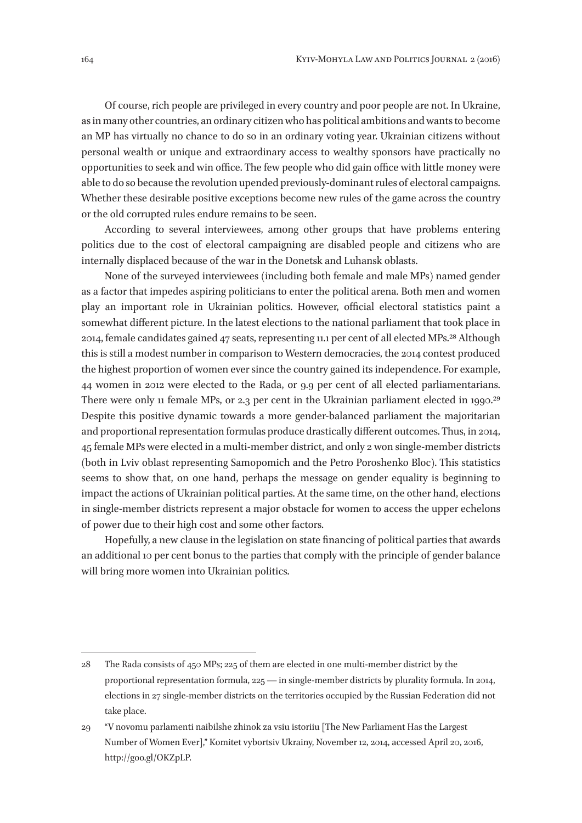Of course, rich people are privileged in every country and poor people are not. In Ukraine, as in many other countries, an ordinary citizen who has political ambitions and wants to become an MP has virtually no chance to do so in an ordinary voting year. Ukrainian citizens without personal wealth or unique and extraordinary access to wealthy sponsors have practically no opportunities to seek and win office. The few people who did gain office with little money were able to do so because the revolution upended previously-dominant rules of electoral campaigns. Whether these desirable positive exceptions become new rules of the game across the country or the old corrupted rules endure remains to be seen.

According to several interviewees, among other groups that have problems entering politics due to the cost of electoral campaigning are disabled people and citizens who are internally displaced because of the war in the Donetsk and Luhansk oblasts.

None of the surveyed interviewees (including both female and male MPs) named gender as a factor that impedes aspiring politicians to enter the political arena. Both men and women play an important role in Ukrainian politics. However, official electoral statistics paint a somewhat different picture. In the latest elections to the national parliament that took place in 2014, female candidates gained 47 seats, representing 11.1 per cent of all elected MPs.28 Although this is still a modest number in comparison to Western democracies, the 2014 contest produced the highest proportion of women ever since the country gained its independence. For example, 44 women in 2012 were elected to the Rada, or 9.9 per cent of all elected parliamentarians. There were only 11 female MPs, or 2.3 per cent in the Ukrainian parliament elected in 1990.<sup>29</sup> Despite this positive dynamic towards a more gender-balanced parliament the majoritarian and proportional representation formulas produce drastically different outcomes. Thus, in 2014, 45 female MPs were elected in a multi-member district, and only 2 won single-member districts (both in Lviv oblast representing Samopomich and the Petro Poroshenko Bloc). This statistics seems to show that, on one hand, perhaps the message on gender equality is beginning to impact the actions of Ukrainian political parties. At the same time, on the other hand, elections in single-member districts represent a major obstacle for women to access the upper echelons of power due to their high cost and some other factors.

Hopefully, a new clause in the legislation on state financing of political parties that awards an additional 10 per cent bonus to the parties that comply with the principle of gender balance will bring more women into Ukrainian politics.

<sup>28</sup> The Rada consists of 450 MPs; 225 of them are elected in one multi-member district by the proportional representation formula, 225 — in single-member districts by plurality formula. In 2014, elections in 27 single-member districts on the territories occupied by the Russian Federation did not take place.

<sup>29</sup> "V novomu parlamenti naibilshe zhinok za vsiu istoriiu [The New Parliament Has the Largest Number of Women Ever]," Komitet vybortsiv Ukrainy, November 12, 2014, accessed April 20, 2016, http://goo.gl/OKZpLP.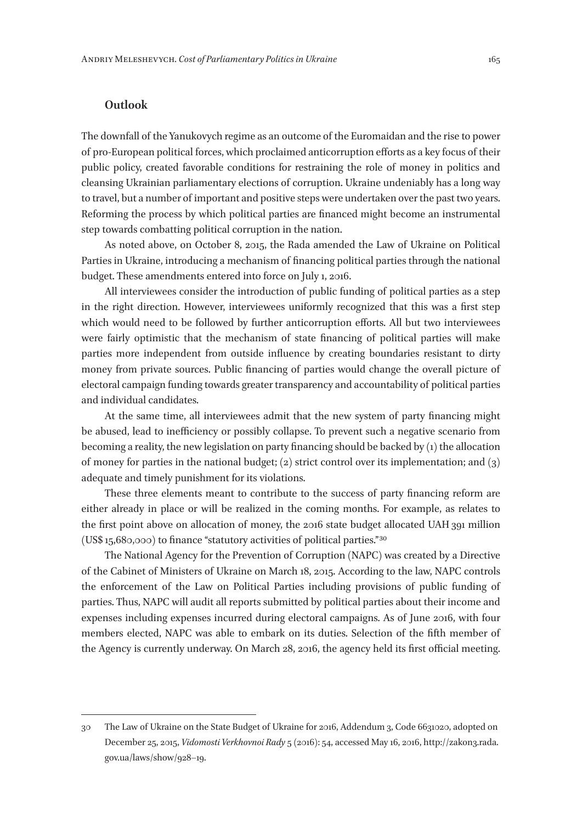## **Outlook**

The downfall of the Yanukovych regime as an outcome of the Euromaidan and the rise to power of pro-European political forces, which proclaimed anticorruption efforts as a key focus of their public policy, created favorable conditions for restraining the role of money in politics and cleansing Ukrainian parliamentary elections of corruption. Ukraine undeniably has a long way to travel, but a number of important and positive steps were undertaken over the past two years. Reforming the process by which political parties are financed might become an instrumental step towards combatting political corruption in the nation.

As noted above, on October 8, 2015, the Rada amended the Law of Ukraine on Political Parties in Ukraine, introducing a mechanism of financing political parties through the national budget. These amendments entered into force on July 1, 2016.

All interviewees consider the introduction of public funding of political parties as a step in the right direction. However, interviewees uniformly recognized that this was a first step which would need to be followed by further anticorruption efforts. All but two interviewees were fairly optimistic that the mechanism of state financing of political parties will make parties more independent from outside influence by creating boundaries resistant to dirty money from private sources. Public financing of parties would change the overall picture of electoral campaign funding towards greater transparency and accountability of political parties and individual candidates.

At the same time, all interviewees admit that the new system of party financing might be abused, lead to inefficiency or possibly collapse. To prevent such a negative scenario from becoming a reality, the new legislation on party financing should be backed by (1) the allocation of money for parties in the national budget; (2) strict control over its implementation; and (3) adequate and timely punishment for its violations.

These three elements meant to contribute to the success of party financing reform are either already in place or will be realized in the coming months. For example, as relates to the first point above on allocation of money, the 2016 state budget allocated UAH 391 million (US\$ 15,680,000) to finance "statutory activities of political parties." 30

The National Agency for the Prevention of Corruption (NAPC) was created by a Directive of the Cabinet of Ministers of Ukraine on March 18, 2015. According to the law, NAPC controls the enforcement of the Law on Political Parties including provisions of public funding of parties. Thus, NAPC will audit all reports submitted by political parties about their income and expenses including expenses incurred during electoral campaigns. As of June 2016, with four members elected, NAPC was able to embark on its duties. Selection of the fifth member of the Agency is currently underway. On March 28, 2016, the agency held its first official meeting.

<sup>30</sup> The Law of Ukraine on the State Budget of Ukraine for 2016, Addendum 3, Code 6631020, adopted on December 25, 2015, *Vidomosti Verkhovnoi Rady* 5 (2016): 54, accessed May 16, 2016, http://zakon3.rada. gov.ua/laws/show/928–19.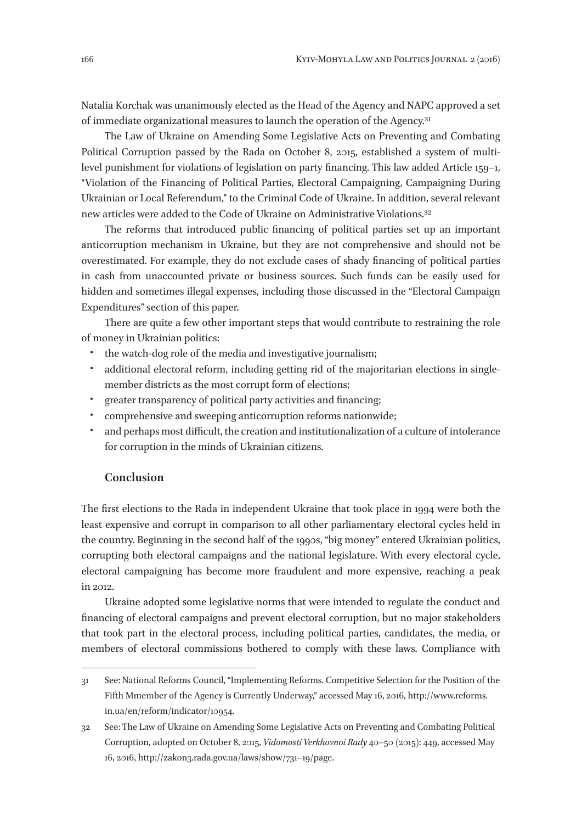Natalia Korchak was unanimously elected as the Head of the Agency and NAPC approved a set of immediate organizational measures to launch the operation of the Agency.31

The Law of Ukraine on Amending Some Legislative Acts on Preventing and Combating Political Corruption passed by the Rada on October 8, 2015, established a system of multilevel punishment for violations of legislation on party financing. This law added Article 159–1, "Violation of the Financing of Political Parties, Electoral Campaigning, Campaigning During Ukrainian or Local Referendum," to the Criminal Code of Ukraine. In addition, several relevant new articles were added to the Code of Ukraine on Administrative Violations.32

The reforms that introduced public financing of political parties set up an important anticorruption mechanism in Ukraine, but they are not comprehensive and should not be overestimated. For example, they do not exclude cases of shady financing of political parties in cash from unaccounted private or business sources. Such funds can be easily used for hidden and sometimes illegal expenses, including those discussed in the "Electoral Campaign Expenditures" section of this paper.

There are quite a few other important steps that would contribute to restraining the role of money in Ukrainian politics:

- the watch-dog role of the media and investigative journalism;
- additional electoral reform, including getting rid of the majoritarian elections in singlemember districts as the most corrupt form of elections;
- greater transparency of political party activities and financing;
- comprehensive and sweeping anticorruption reforms nationwide;
- and perhaps most difficult, the creation and institutionalization of a culture of intolerance for corruption in the minds of Ukrainian citizens.

## **Conclusion**

The first elections to the Rada in independent Ukraine that took place in 1994 were both the least expensive and corrupt in comparison to all other parliamentary electoral cycles held in the country. Beginning in the second half of the 1990s, "big money" entered Ukrainian politics, corrupting both electoral campaigns and the national legislature. With every electoral cycle, electoral campaigning has become more fraudulent and more expensive, reaching a peak in 2012.

Ukraine adopted some legislative norms that were intended to regulate the conduct and financing of electoral campaigns and prevent electoral corruption, but no major stakeholders that took part in the electoral process, including political parties, candidates, the media, or members of electoral commissions bothered to comply with these laws. Compliance with

<sup>31</sup> See: National Reforms Council, "Implementing Reforms. Competitive Selection for the Position of the Fifth Mmember of the Agency is Currently Underway," accessed May 16, 2016, http://www.reforms. in.ua/en/reform/indicator/10954.

<sup>32</sup> See: The Law of Ukraine on Amending Some Legislative Acts on Preventing and Combating Political Corruption, adopted on October 8, 2015, *Vidomosti Verkhovnoi Rady* 40–50 (2015): 449, accessed May 16, 2016, http://zakon3.rada.gov.ua/laws/show/731–19/page.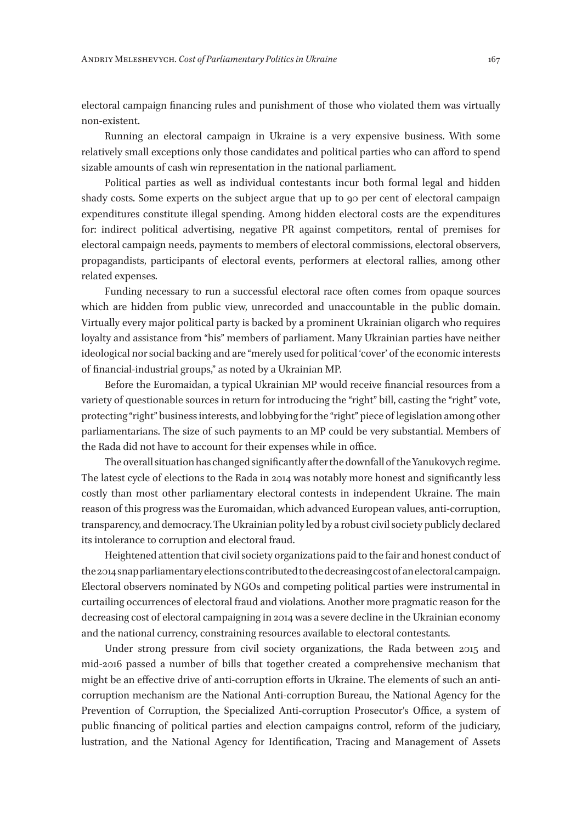electoral campaign financing rules and punishment of those who violated them was virtually non-existent.

Running an electoral campaign in Ukraine is a very expensive business. With some relatively small exceptions only those candidates and political parties who can afford to spend sizable amounts of cash win representation in the national parliament.

Political parties as well as individual contestants incur both formal legal and hidden shady costs. Some experts on the subject argue that up to 90 per cent of electoral campaign expenditures constitute illegal spending. Among hidden electoral costs are the expenditures for: indirect political advertising, negative PR against competitors, rental of premises for electoral campaign needs, payments to members of electoral commissions, electoral observers, propagandists, participants of electoral events, performers at electoral rallies, among other related expenses.

Funding necessary to run a successful electoral race often comes from opaque sources which are hidden from public view, unrecorded and unaccountable in the public domain. Virtually every major political party is backed by a prominent Ukrainian oligarch who requires loyalty and assistance from "his" members of parliament. Many Ukrainian parties have neither ideological nor social backing and are "merely used for political 'cover' of the economic interests of financial-industrial groups," as noted by a Ukrainian MP.

Before the Euromaidan, a typical Ukrainian MP would receive financial resources from a variety of questionable sources in return for introducing the "right" bill, casting the "right" vote, protecting "right" business interests, and lobbying for the "right" piece of legislation among other parliamentarians. The size of such payments to an MP could be very substantial. Members of the Rada did not have to account for their expenses while in office.

The overall situation has changed significantly after the downfall of the Yanukovych regime. The latest cycle of elections to the Rada in 2014 was notably more honest and significantly less costly than most other parliamentary electoral contests in independent Ukraine. The main reason of this progress was the Euromaidan, which advanced European values, anti-corruption, transparency, and democracy. The Ukrainian polity led by a robust civil society publicly declared its intolerance to corruption and electoral fraud.

Heightened attention that civil society organizations paid to the fair and honest conduct of the 2014 snap parliamentary elections contributed to the decreasing cost of an electoral campaign. Electoral observers nominated by NGOs and competing political parties were instrumental in curtailing occurrences of electoral fraud and violations. Another more pragmatic reason for the decreasing cost of electoral campaigning in 2014 was a severe decline in the Ukrainian economy and the national currency, constraining resources available to electoral contestants.

Under strong pressure from civil society organizations, the Rada between 2015 and mid-2016 passed a number of bills that together created a comprehensive mechanism that might be an effective drive of anti-corruption efforts in Ukraine. The elements of such an anticorruption mechanism are the National Anti-corruption Bureau, the National Agency for the Prevention of Corruption, the Specialized Anti-corruption Prosecutor's Office, a system of public financing of political parties and election campaigns control, reform of the judiciary, lustration, and the National Agency for Identification, Tracing and Management of Assets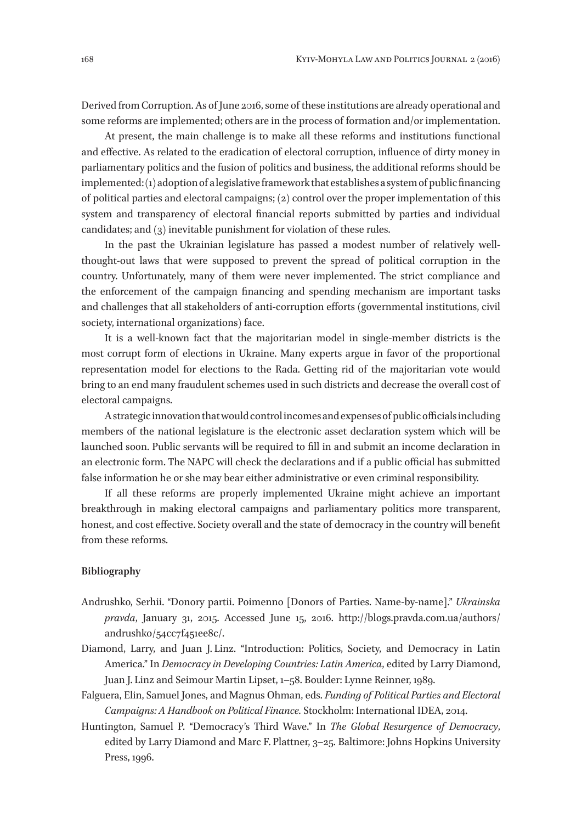Derived from Corruption. As of June 2016, some of these institutions are already operational and some reforms are implemented; others are in the process of formation and/or implementation.

At present, the main challenge is to make all these reforms and institutions functional and effective. As related to the eradication of electoral corruption, influence of dirty money in parliamentary politics and the fusion of politics and business, the additional reforms should be implemented: (1) adoption of a legislative framework that establishes a system of public financing of political parties and electoral campaigns; (2) control over the proper implementation of this system and transparency of electoral financial reports submitted by parties and individual candidates; and (3) inevitable punishment for violation of these rules.

In the past the Ukrainian legislature has passed a modest number of relatively wellthought-out laws that were supposed to prevent the spread of political corruption in the country. Unfortunately, many of them were never implemented. The strict compliance and the enforcement of the campaign financing and spending mechanism are important tasks and challenges that all stakeholders of anti-corruption efforts (governmental institutions, civil society, international organizations) face.

It is a well-known fact that the majoritarian model in single-member districts is the most corrupt form of elections in Ukraine. Many experts argue in favor of the proportional representation model for elections to the Rada. Getting rid of the majoritarian vote would bring to an end many fraudulent schemes used in such districts and decrease the overall cost of electoral campaigns.

A strategic innovation that would control incomes and expenses of public officials including members of the national legislature is the electronic asset declaration system which will be launched soon. Public servants will be required to fill in and submit an income declaration in an electronic form. The NAPC will check the declarations and if a public official has submitted false information he or she may bear either administrative or even criminal responsibility.

If all these reforms are properly implemented Ukraine might achieve an important breakthrough in making electoral campaigns and parliamentary politics more transparent, honest, and cost effective. Society overall and the state of democracy in the country will benefit from these reforms.

#### **Bibliography**

- Andrushko, Serhii. "Donory partii. Poimenno [Donors of Parties. Name-by-name]." *Ukrainska pravda*, January 31, 2015. Accessed June 15, 2016. http://blogs.pravda.com.ua/authors/ andrushko/54cc7f451ee8c/.
- Diamond, Larry, and Juan J. Linz. "Introduction: Politics, Society, and Democracy in Latin America." In *Democracy in Developing Countries: Latin America*, edited by Larry Diamond, Juan J. Linz and Seimour Martin Lipset, 1–58. Boulder: Lynne Reinner, 1989.
- Falguera, Elin, Samuel Jones, and Magnus Ohman, eds. *Funding of Political Parties and Electoral Campaigns: A Handbook on Political Finance.* Stockholm: International IDEA, 2014.
- Huntington, Samuel P. "Democracy's Third Wave." In *The Global Resurgence of Democracy*, edited by Larry Diamond and Marc F. Plattner, 3–25. Baltimore: Johns Hopkins University Press, 1996.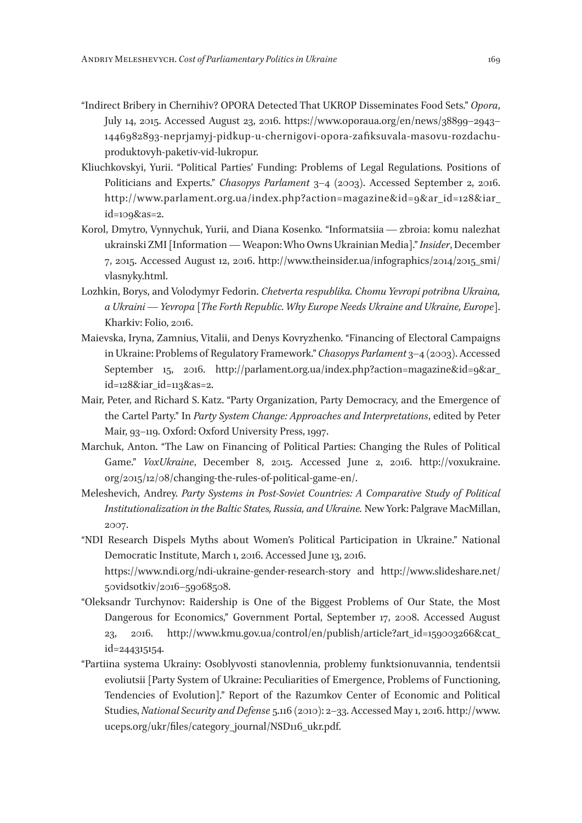- "Indirect Bribery in Chernihiv? OPORA Detected That UKROP Disseminates Food Sets." *Opora*, July 14, 2015. Accessed August 23, 2016. https://www.oporaua.org/en/news/38899–2943– 1446982893-neprjamyj-pidkup-u-chernigovi-opora-zafiksuvala-masovu-rozdachuproduktovyh-paketiv-vid-lukropur.
- Kliuchkovskyi, Yurii. "Political Parties' Funding: Problems of Legal Regulations. Positions of Politicians and Experts." *Chasopys Parlament* 3–4 (2003). Accessed September 2, 2016. http://www.parlament.org.ua/index.php?action=magazine&id=9&ar\_id=128&iar\_ id=109&as=2.
- Korol, Dmytro, Vynnychuk, Yurii, and Diana Kosenko. "Informatsiia — zbroia: komu nalezhat ukrainski ZMI [Information — Weapon: Who Owns Ukrainian Media]." *Insider*, December 7, 2015. Accessed August 12, 2016. http://www.theinsider.ua/infographics/2014/2015\_smi/ vlasnyky.html.
- Lozhkin, Borys, and Volodymyr Fedorin. *Chetverta respublika. Chomu Yevropi potribna Ukraina, a Ukraini — Yevropa* [*The Forth Republic. Why Europe Needs Ukraine and Ukraine, Europe*]. Kharkiv: Folio, 2016.
- Maievska, Iryna, Zamnius, Vitalii, and Denys Kovryzhenko. "Financing of Electoral Campaigns in Ukraine: Problems of Regulatory Framework." *Chasopys Parlament* 3–4 (2003). Accessed September 15, 2016. http://parlament.org.ua/index.php?action=magazine&id=9&ar\_ id=128&iar\_id=113&as=2.
- Mair, Peter, and Richard S. Katz. "Party Organization, Party Democracy, and the Emergence of the Cartel Party." In *Party System Change: Approaches and Interpretations*, edited by Peter Mair, 93–119. Oxford: Oxford University Press, 1997.
- Marchuk, Anton. "The Law on Financing of Political Parties: Changing the Rules of Political Game." *VoxUkraine*, December 8, 2015. Accessed June 2, 2016. http://voxukraine. org/2015/12/08/changing-the-rules-of-political-game-en/.
- Meleshevich, Andrey. *Party Systems in Post-Soviet Countries: A Comparative Study of Political Institutionalization in the Baltic States, Russia, and Ukraine.* New York: Palgrave MacMillan, 2007.
- "NDI Research Dispels Myths about Women's Political Participation in Ukraine." National Democratic Institute, March 1, 2016. Accessed June 13, 2016. https://www.ndi.org/ndi-ukraine-gender-research-story and http://www.slideshare.net/
	- 50vidsotkiv/2016–59068508.
- "Oleksandr Turchynov: Raidership is One of the Biggest Problems of Our State, the Most Dangerous for Economics," Government Portal, September 17, 2008. Accessed August 23, 2016. http://www.kmu.gov.ua/control/en/publish/article?art\_id=159003266&cat\_ id=244315154.
- "Partiina systema Ukrainy: Osoblyvosti stanovlennia, problemy funktsionuvannia, tendentsii evoliutsii [Party System of Ukraine: Peculiarities of Emergence, Problems of Functioning, Tendencies of Evolution]." Report of the Razumkov Center of Economic and Political Studies, *National Security and Defense* 5.116 (2010): 2–33. Accessed May 1, 2016. http://www. uceps.org/ukr/files/category\_journal/NSD116\_ukr.pdf.